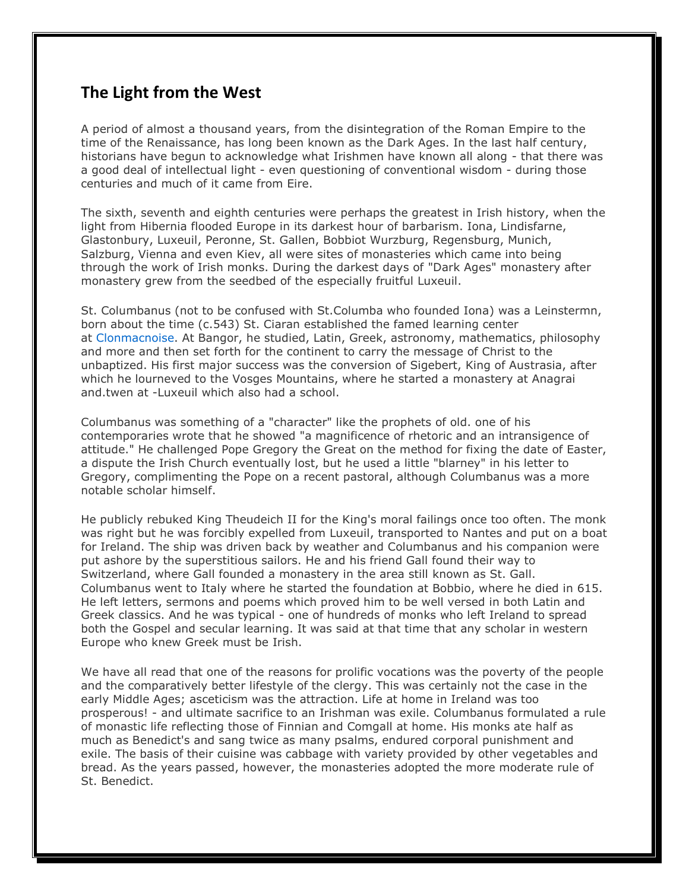## **The Light from the West**

A period of almost a thousand years, from the disintegration of the Roman Empire to the time of the Renaissance, has long been known as the Dark Ages. In the last half century, historians have begun to acknowledge what Irishmen have known all along - that there was a good deal of intellectual light - even questioning of conventional wisdom - during those centuries and much of it came from Eire.

The sixth, seventh and eighth centuries were perhaps the greatest in Irish history, when the light from Hibernia flooded Europe in its darkest hour of barbarism. Iona, Lindisfarne, Glastonbury, Luxeuil, Peronne, St. Gallen, Bobbiot Wurzburg, Regensburg, Munich, Salzburg, Vienna and even Kiev, all were sites of monasteries which came into being through the work of Irish monks. During the darkest days of "Dark Ages" monastery after monastery grew from the seedbed of the especially fruitful Luxeuil.

St. Columbanus (not to be confused with St.Columba who founded Iona) was a Leinstermn, born about the time (c.543) St. Ciaran established the famed learning center at Clonmacnoise. At Bangor, he studied, Latin, Greek, astronomy, mathematics, philosophy and more and then set forth for the continent to carry the message of Christ to the unbaptized. His first major success was the conversion of Sigebert, King of Austrasia, after which he lourneved to the Vosges Mountains, where he started a monastery at Anagrai and.twen at -Luxeuil which also had a school.

Columbanus was something of a "character" like the prophets of old. one of his contemporaries wrote that he showed "a magnificence of rhetoric and an intransigence of attitude." He challenged Pope Gregory the Great on the method for fixing the date of Easter, a dispute the Irish Church eventually lost, but he used a little "blarney" in his letter to Gregory, complimenting the Pope on a recent pastoral, although Columbanus was a more notable scholar himself.

He publicly rebuked King Theudeich II for the King's moral failings once too often. The monk was right but he was forcibly expelled from Luxeuil, transported to Nantes and put on a boat for Ireland. The ship was driven back by weather and Columbanus and his companion were put ashore by the superstitious sailors. He and his friend Gall found their way to Switzerland, where Gall founded a monastery in the area still known as St. Gall. Columbanus went to Italy where he started the foundation at Bobbio, where he died in 615. He left letters, sermons and poems which proved him to be well versed in both Latin and Greek classics. And he was typical - one of hundreds of monks who left Ireland to spread both the Gospel and secular learning. It was said at that time that any scholar in western Europe who knew Greek must be Irish.

We have all read that one of the reasons for prolific vocations was the poverty of the people and the comparatively better lifestyle of the clergy. This was certainly not the case in the early Middle Ages; asceticism was the attraction. Life at home in Ireland was too prosperous! - and ultimate sacrifice to an Irishman was exile. Columbanus formulated a rule of monastic life reflecting those of Finnian and Comgall at home. His monks ate half as much as Benedict's and sang twice as many psalms, endured corporal punishment and exile. The basis of their cuisine was cabbage with variety provided by other vegetables and bread. As the years passed, however, the monasteries adopted the more moderate rule of St. Benedict.